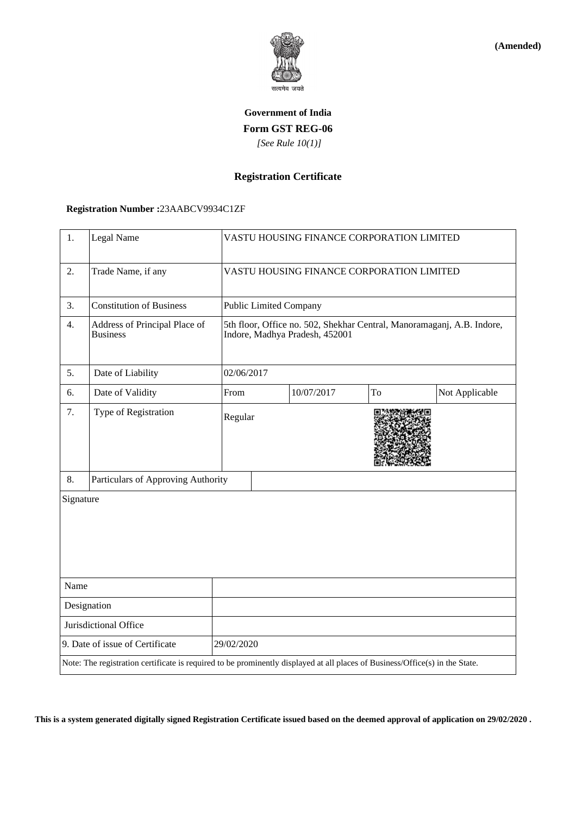

**(Amended)**

# **Government of India Form GST REG-06**  *[See Rule 10(1)]*

## **Registration Certificate**

### **Registration Number :**23AABCV9934C1ZF

| 1.                                                                                                                           | Legal Name                                       |                                                                                                          | VASTU HOUSING FINANCE CORPORATION LIMITED |            |    |                |  |
|------------------------------------------------------------------------------------------------------------------------------|--------------------------------------------------|----------------------------------------------------------------------------------------------------------|-------------------------------------------|------------|----|----------------|--|
| 2.                                                                                                                           | Trade Name, if any                               | VASTU HOUSING FINANCE CORPORATION LIMITED                                                                |                                           |            |    |                |  |
| 3.                                                                                                                           | <b>Constitution of Business</b>                  |                                                                                                          | <b>Public Limited Company</b>             |            |    |                |  |
| 4.                                                                                                                           | Address of Principal Place of<br><b>Business</b> | 5th floor, Office no. 502, Shekhar Central, Manoramaganj, A.B. Indore,<br>Indore, Madhya Pradesh, 452001 |                                           |            |    |                |  |
| 5.                                                                                                                           | Date of Liability                                |                                                                                                          | 02/06/2017                                |            |    |                |  |
| 6.                                                                                                                           | Date of Validity                                 | From                                                                                                     |                                           | 10/07/2017 | To | Not Applicable |  |
| 7.                                                                                                                           | Type of Registration                             |                                                                                                          | Regular                                   |            |    |                |  |
| 8.                                                                                                                           | Particulars of Approving Authority               |                                                                                                          |                                           |            |    |                |  |
| Signature                                                                                                                    |                                                  |                                                                                                          |                                           |            |    |                |  |
| Name                                                                                                                         |                                                  |                                                                                                          |                                           |            |    |                |  |
| Designation                                                                                                                  |                                                  |                                                                                                          |                                           |            |    |                |  |
| Jurisdictional Office                                                                                                        |                                                  |                                                                                                          |                                           |            |    |                |  |
|                                                                                                                              | 9. Date of issue of Certificate                  |                                                                                                          | 29/02/2020                                |            |    |                |  |
| Note: The registration certificate is required to be prominently displayed at all places of Business/Office(s) in the State. |                                                  |                                                                                                          |                                           |            |    |                |  |

**This is a system generated digitally signed Registration Certificate issued based on the deemed approval of application on 29/02/2020 .**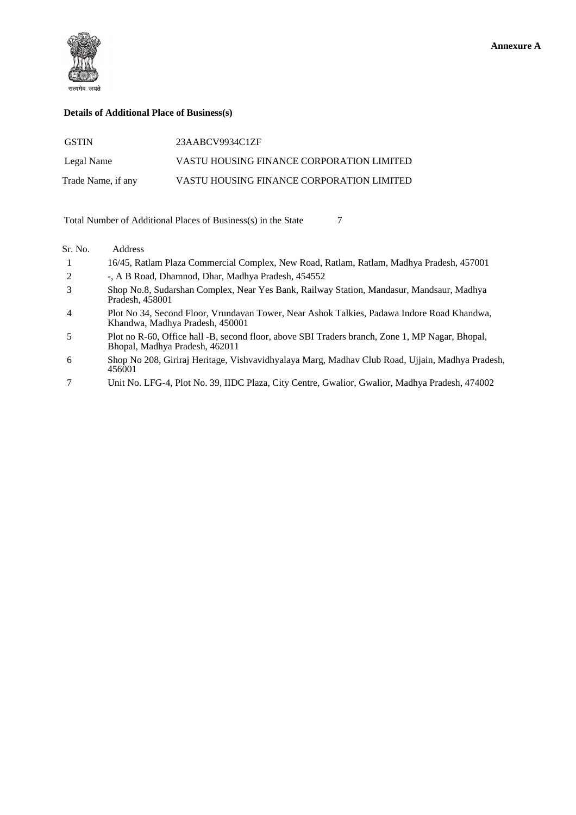

#### **Details of Additional Place of Business(s)**

| <b>GSTIN</b>       | 23AABCV9934C1ZF                           |
|--------------------|-------------------------------------------|
| Legal Name         | VASTU HOUSING FINANCE CORPORATION LIMITED |
| Trade Name, if any | VASTU HOUSING FINANCE CORPORATION LIMITED |

Total Number of Additional Places of Business(s) in the State 7

#### Sr. No. Address

- 1 16/45, Ratlam Plaza Commercial Complex, New Road, Ratlam, Ratlam, Madhya Pradesh, 457001 2 -, A B Road, Dhamnod, Dhar, Madhya Pradesh, 454552
- 3 Shop No.8, Sudarshan Complex, Near Yes Bank, Railway Station, Mandasur, Mandsaur, Madhya Pradesh, 458001
- 4 Plot No 34, Second Floor, Vrundavan Tower, Near Ashok Talkies, Padawa Indore Road Khandwa, Khandwa, Madhya Pradesh, 450001
- 5 Plot no R-60, Office hall -B, second floor, above SBI Traders branch, Zone 1, MP Nagar, Bhopal, Bhopal, Madhya Pradesh, 462011
- 6 Shop No 208, Giriraj Heritage, Vishvavidhyalaya Marg, Madhav Club Road, Ujjain, Madhya Pradesh, 456001
- 7 Unit No. LFG-4, Plot No. 39, IIDC Plaza, City Centre, Gwalior, Gwalior, Madhya Pradesh, 474002